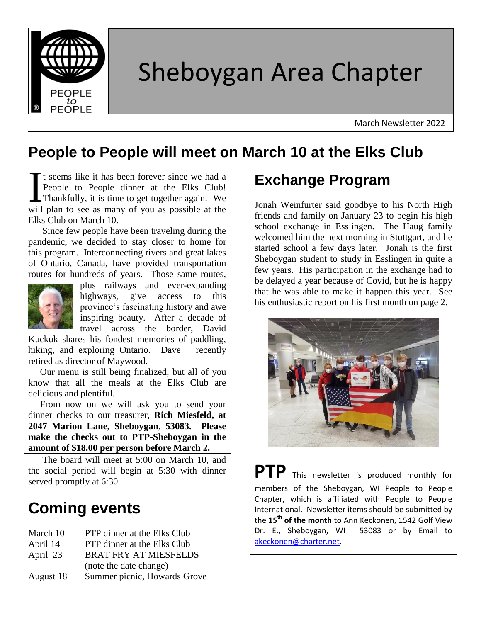

# Sheboygan Area Chapter

March Newsletter 2022

#### **People to People will meet on March 10 at the Elks Club**

It seems like it has been forever since we had a People to People dinner at the Elks Club! Thankfully, it is time to get together again. We It seems like it has been forever since we had a People to People dinner at the Elks Club!<br>Thankfully, it is time to get together again. We will plan to see as many of you as possible at the Elks Club on March 10.

 Since few people have been traveling during the pandemic, we decided to stay closer to home for this program. Interconnecting rivers and great lakes of Ontario, Canada, have provided transportation routes for hundreds of years. Those same routes,



plus railways and ever-expanding highways, give access to this province's fascinating history and awe inspiring beauty. After a decade of travel across the border, David

Kuckuk shares his fondest memories of paddling, hiking, and exploring Ontario. Dave recently retired as director of Maywood.

 Our menu is still being finalized, but all of you know that all the meals at the Elks Club are delicious and plentiful.

 From now on we will ask you to send your dinner checks to our treasurer, **Rich Miesfeld, at 2047 Marion Lane, Sheboygan, 53083. Please make the checks out to PTP-Sheboygan in the amount of \$18.00 per person before March 2.**

 The board will meet at 5:00 on March 10, and the social period will begin at 5:30 with dinner served promptly at 6:30.

# **Coming events**

| March 10  | PTP dinner at the Elks Club        |
|-----------|------------------------------------|
| April 14  | <b>PTP</b> dinner at the Elks Club |
| April 23  | <b>BRAT FRY AT MIESFELDS</b>       |
|           | (note the date change)             |
| August 18 | Summer picnic, Howards Grove       |

## **Exchange Program**

Jonah Weinfurter said goodbye to his North High friends and family on January 23 to begin his high school exchange in Esslingen. The Haug family welcomed him the next morning in Stuttgart, and he started school a few days later. Jonah is the first Sheboygan student to study in Esslingen in quite a few years. His participation in the exchange had to be delayed a year because of Covid, but he is happy that he was able to make it happen this year. See his enthusiastic report on his first month on page 2.



**PTP** This newsletter is produced monthly for members of the Sheboygan, WI People to People Chapter, which is affiliated with People to People International. Newsletter items should be submitted by the **15th of the month** to Ann Keckonen, 1542 Golf View Dr. E., Sheboygan, WI 53083 or by Email to [akeckonen@charter.net.](mailto:akeckonen@charter.net)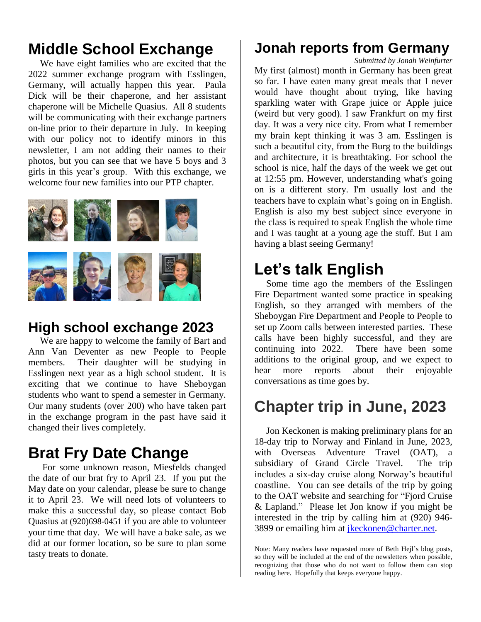## **Middle School Exchange**

 We have eight families who are excited that the 2022 summer exchange program with Esslingen, Germany, will actually happen this year. Paula Dick will be their chaperone, and her assistant chaperone will be Michelle Quasius. All 8 students will be communicating with their exchange partners on-line prior to their departure in July. In keeping with our policy not to identify minors in this newsletter, I am not adding their names to their photos, but you can see that we have 5 boys and 3 girls in this year's group. With this exchange, we welcome four new families into our PTP chapter.



#### **High school exchange 2023**

 We are happy to welcome the family of Bart and Ann Van Deventer as new People to People members. Their daughter will be studying in Esslingen next year as a high school student. It is exciting that we continue to have Sheboygan students who want to spend a semester in Germany. Our many students (over 200) who have taken part in the exchange program in the past have said it changed their lives completely.

## **Brat Fry Date Change**

 For some unknown reason, Miesfelds changed the date of our brat fry to April 23. If you put the May date on your calendar, please be sure to change it to April 23. We will need lots of volunteers to make this a successful day, so please contact Bob Quasius at (920)698-0451 if you are able to volunteer your time that day. We will have a bake sale, as we did at our former location, so be sure to plan some tasty treats to donate.

#### **Jonah reports from Germany**

*Submitted by Jonah Weinfurter*

My first (almost) month in Germany has been great so far. I have eaten many great meals that I never would have thought about trying, like having sparkling water with Grape juice or Apple juice (weird but very good). I saw Frankfurt on my first day. It was a very nice city. From what I remember my brain kept thinking it was 3 am. Esslingen is such a beautiful city, from the Burg to the buildings and architecture, it is breathtaking. For school the school is nice, half the days of the week we get out at 12:55 pm. However, understanding what's going on is a different story. I'm usually lost and the teachers have to explain what's going on in English. English is also my best subject since everyone in the class is required to speak English the whole time and I was taught at a young age the stuff. But I am having a blast seeing Germany!

## **Let's talk English**

 Some time ago the members of the Esslingen Fire Department wanted some practice in speaking English, so they arranged with members of the Sheboygan Fire Department and People to People to set up Zoom calls between interested parties. These calls have been highly successful, and they are continuing into 2022. There have been some additions to the original group, and we expect to hear more reports about their enjoyable conversations as time goes by.

#### **Chapter trip in June, 2023**

 Jon Keckonen is making preliminary plans for an 18-day trip to Norway and Finland in June, 2023, with Overseas Adventure Travel (OAT), a subsidiary of Grand Circle Travel. The trip includes a six-day cruise along Norway's beautiful coastline. You can see details of the trip by going to the OAT website and searching for "Fjord Cruise & Lapland." Please let Jon know if you might be interested in the trip by calling him at (920) 946- 3899 or emailing him at [jkeckonen@charter.net.](mailto:jkeckonen@charter.net)

Note: Many readers have requested more of Beth Hejl's blog posts, so they will be included at the end of the newsletters when possible, recognizing that those who do not want to follow them can stop reading here. Hopefully that keeps everyone happy.